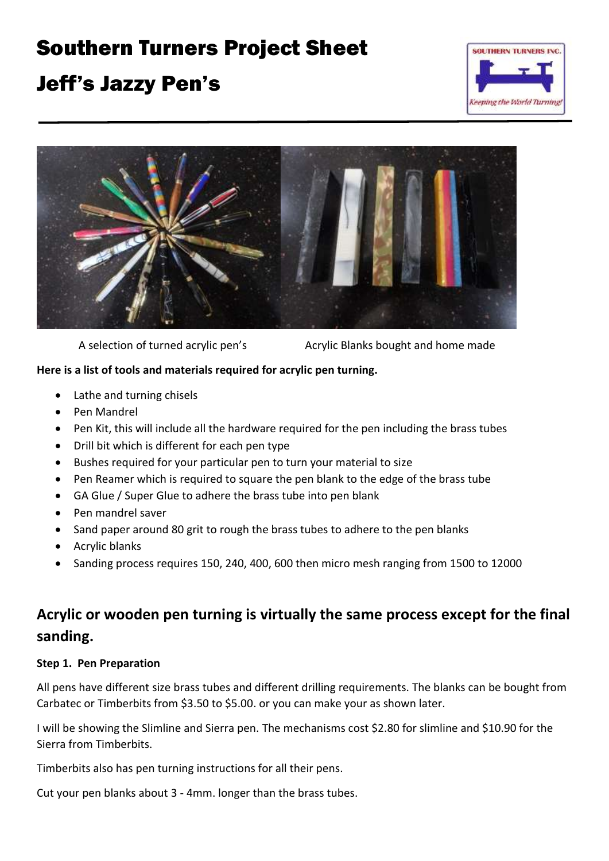# Southern Turners Project Sheet

## Jeff's Jazzy Pen's





A selection of turned acrylic pen's Acrylic Blanks bought and home made

#### **Here is a list of tools and materials required for acrylic pen turning.**

- Lathe and turning chisels
- Pen Mandrel
- Pen Kit, this will include all the hardware required for the pen including the brass tubes
- Drill bit which is different for each pen type
- Bushes required for your particular pen to turn your material to size
- Pen Reamer which is required to square the pen blank to the edge of the brass tube
- GA Glue / Super Glue to adhere the brass tube into pen blank
- Pen mandrel saver
- Sand paper around 80 grit to rough the brass tubes to adhere to the pen blanks
- Acrylic blanks
- Sanding process requires 150, 240, 400, 600 then micro mesh ranging from 1500 to 12000

### **Acrylic or wooden pen turning is virtually the same process except for the final sanding.**

#### **Step 1. Pen Preparation**

All pens have different size brass tubes and different drilling requirements. The blanks can be bought from Carbatec or Timberbits from \$3.50 to \$5.00. or you can make your as shown later.

I will be showing the Slimline and Sierra pen. The mechanisms cost \$2.80 for slimline and \$10.90 for the Sierra from Timberbits.

Timberbits also has pen turning instructions for all their pens.

Cut your pen blanks about 3 - 4mm. longer than the brass tubes.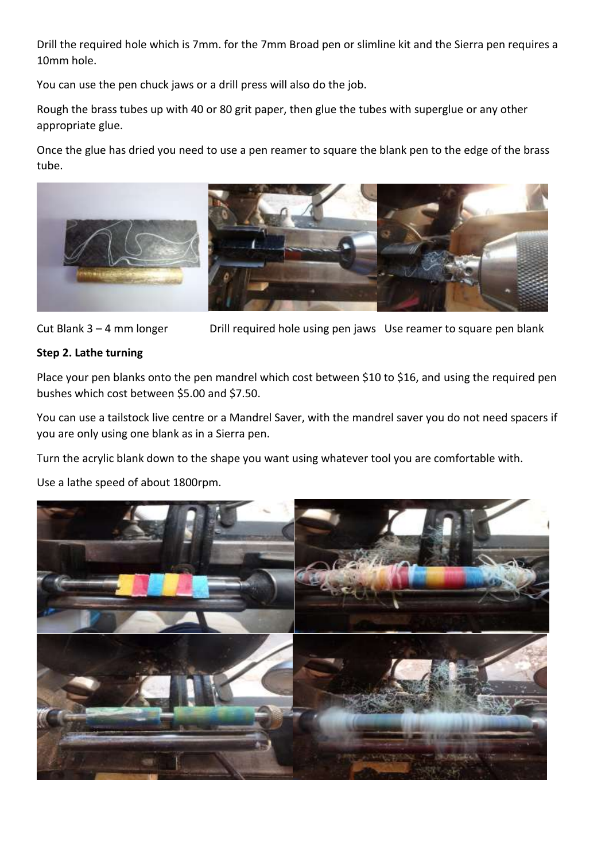Drill the required hole which is 7mm. for the 7mm Broad pen or slimline kit and the Sierra pen requires a 10mm hole.

You can use the pen chuck jaws or a drill press will also do the job.

Rough the brass tubes up with 40 or 80 grit paper, then glue the tubes with superglue or any other appropriate glue.

Once the glue has dried you need to use a pen reamer to square the blank pen to the edge of the brass tube.



Cut Blank 3 – 4 mm longer Drill required hole using pen jaws Use reamer to square pen blank

#### **Step 2. Lathe turning**

Place your pen blanks onto the pen mandrel which cost between \$10 to \$16, and using the required pen bushes which cost between \$5.00 and \$7.50.

You can use a tailstock live centre or a Mandrel Saver, with the mandrel saver you do not need spacers if you are only using one blank as in a Sierra pen.

Turn the acrylic blank down to the shape you want using whatever tool you are comfortable with.

Use a lathe speed of about 1800rpm.

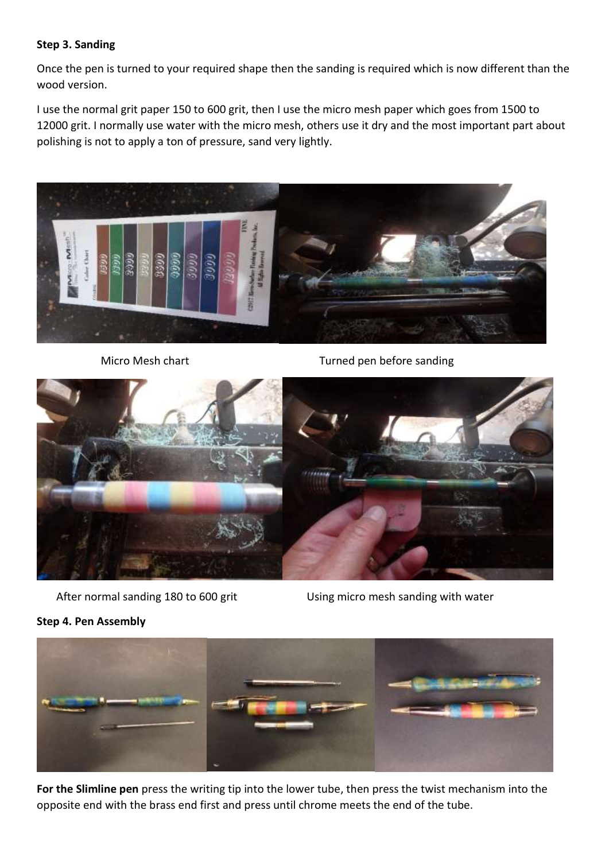#### **Step 3. Sanding**

Once the pen is turned to your required shape then the sanding is required which is now different than the wood version.

I use the normal grit paper 150 to 600 grit, then I use the micro mesh paper which goes from 1500 to 12000 grit. I normally use water with the micro mesh, others use it dry and the most important part about polishing is not to apply a ton of pressure, sand very lightly.



Micro Mesh chart Turned pen before sanding



After normal sanding 180 to 600 grit Using micro mesh sanding with water

#### **Step 4. Pen Assembly**



**For the Slimline pen** press the writing tip into the lower tube, then press the twist mechanism into the opposite end with the brass end first and press until chrome meets the end of the tube.